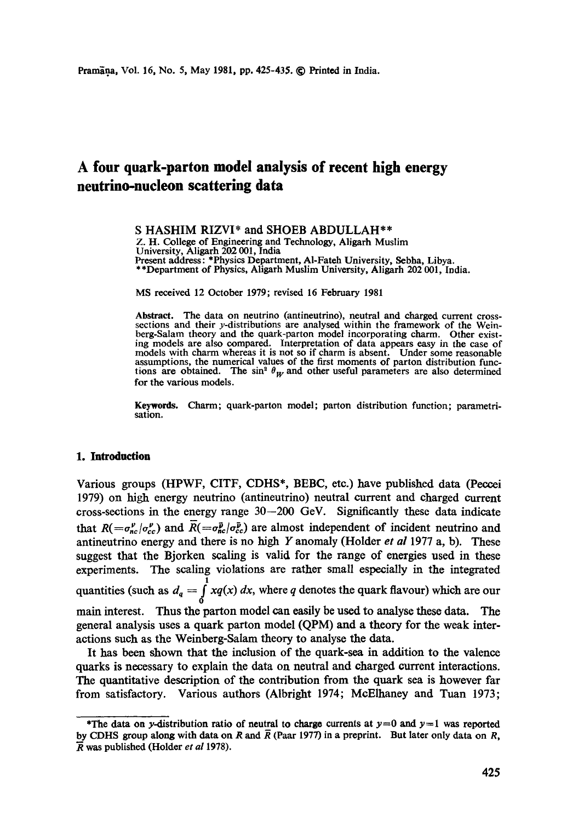# **A four quark-parton model analysis of recent high energy neutrino-nucleon scattering data**

S HASHIM RIZVI\* and SHOEB ABDULLAH\*\* z. H. College of Engineering and Technology, Aligarh Muslim University, Aligarh 202 001, India Present address: \*Physics Department, AI-Fateh University, Sebha, Libya. \*\*Department of Physics, Aligarh Muslim University, Aligarh 202 001, India.

MS received 12 October 1979; revised 16 February 1981

Abstract. The data on neutrino (antineutrino), neutral and charged current crosssections and their y-distributions are analysed within the framework of the Weinberg-Salam theory and the quark-parton model incorporating charm. Other existing models are also compared. Interpretation of data appears easy in the case of models with charm whereas it is not so if charm is absent. Under some reasonable assumptions, the numerical values of the first moments of paxton distribution functions are obtained. The sin<sup>2</sup>  $\theta_W$  and other useful parameters are also determined **for** the various models.

Keywords. Charm; quark-parton model; parton distribution function; parametrisation.

### **1. Introduction**

Various groups (HPWF, CITF, CDHS\*, BEBC, etc.) have published data (Peccei 1979) on high energy neutrino (antineutrino) neutral current and charged current cross-sections in the energy range  $30-200$  GeV. Significantly these data indicate that  $R(=\sigma_{nc}^{\nu}/\sigma_{cc}^{\nu})$  and  $\overline{R}(\equiv \sigma_{nc}^{\overline{\nu}}/\sigma_{cc}^{\overline{\nu}})$  are almost independent of incident neutrino and antineutrino energy and there is no high Y anomaly (Holder *et al* 1977 a, b). These suggest that the Bjorken scaling is valid for the range of energies used in these experiments. The scaling violations are rather small especially in the integrated quantities (such as  $d_q = \int^1 xq(x) dx$ , where q denotes the quark flavour) which are our main interest. Thus the parton model can easily be used to analyse these data. The general analysis uses a quark parton model (QPM) and a theory for the weak interactions such as the Weinberg-Salam theory to analyse the data.

It has been shown that the inclusion of the quark-sea in addition to the valence quarks is necessary to explain the data on neutral and charged current interactions. The quantitative description of the contribution from the quark sea is however far from satisfactory. Various authors (Albright 1974; McElhaney and Tuan 1973;

<sup>\*</sup>The data on y-distribution ratio of neutral to charge currents at  $y=0$  and  $y=1$  was reported by CDHS group along with data on R and  $\overline{R}$  (Paar 1977) in a preprint. But later only data on R, was published (Holder *et al* 1978).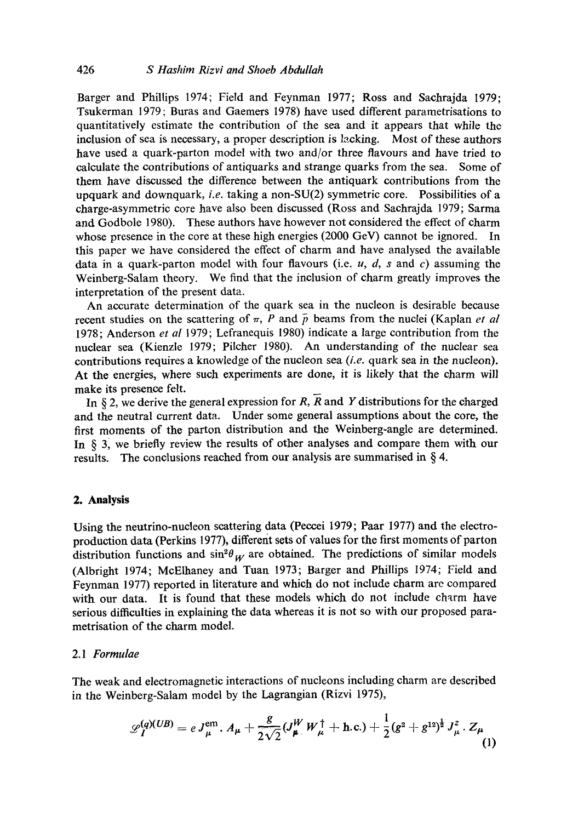Barger and Phillips 1974; Field and Feynman 1977; Ross and Sachrajda 1979; Tsukerman 1979; Buras and Gaemers 1978) have used different parametrisations to quantitatively estimate the contribution of the sea and it appears that while the inclusion of sea is necessary, a proper description is lacking. Most of these authors have used a quark-parton model with two and/or three flavours and have tried to calculate the contributions of antiquarks and strange quarks from the sea. Some of them have discussed the difference between the antiquark contributions from the upquark and downquark, *i.e.* taking a non-SU(2) symmetric core. Possibilities of a charge-asymmetric core have also been discussed (Ross and Sachrajda 1979; Sarma and Godbole 1980). These authors have however not considered the effect of charm whose presence in the core at these high energies (2000 GeV) cannot be ignored. In this paper we have considered the effect of charm and have analysed the available data in a quark-parton model with four flavours (i.e.  $u$ ,  $d$ ,  $s$  and  $c$ ) assuming the Weinberg-Salam theory. We find that the inclusion of charm greatly improves the interpretation of the present data.

An accurate determination of the quark sea in the nucleon is desirable because recent studies on the scattering of  $\pi$ , P and  $\bar{p}$  beams from the nuclei (Kaplan *et al* 1978; Anderson *et al* 1979; Lefranequis 1980) indicate a large contribution from the nuclear sea (Kienzle 1979; Pilcher 1980). An understanding of the nuclear sea contributions requires a knowledge of the nucleon sea *(i.e.* quark sea in the nucleon). At the energies, where such experiments are done, it is likely that the charm will make its presence felt.

In § 2, we derive the general expression for R,  $\overline{R}$  and Y distributions for the charged and the neutral current data. Under some general assumptions about the core, the first moments of the patton distribution and the Weinberg-angle are determined. In  $\S$  3, we briefly review the results of other analyses and compare them with our results. The conclusions reached from our analysis are summarised in § 4.

## **2. Analysis**

Using the neutrino-nucleon scattering data (Peccei 1979; Paar 1977) and the electroproduction data (Perkins 1977), different sets of values for the first moments of parton distribution functions and  $\sin^2 \theta_W$  are obtained. The predictions of similar models (Albright 1974; McElhaney and Tuan 1973; Barger and Phillips 1974; Field and Feynman 1977) reported in literature and which do not include charm are compared with our data. It is found that these models which do not include charm have serious difficulties in explaining the data whereas it is not so with our proposed parametrisation of the charm model.

#### 2.1 *Formulae*

The weak and electromagnetic interactions of nucleons including charm are described in the Weinberg-Salam model by the Lagrangian (Rizvi 1975),

$$
\mathscr{L}_I^{(q)(UB)} = e J_\mu^{\text{em}} \cdot A_\mu + \frac{g}{2\sqrt{2}} (J_\mu^W W_\mu^\dagger + \text{h.c.}) + \frac{1}{2} (g^2 + g^{12})^{\frac{1}{2}} J_\mu^2 \cdot Z_\mu
$$
(1)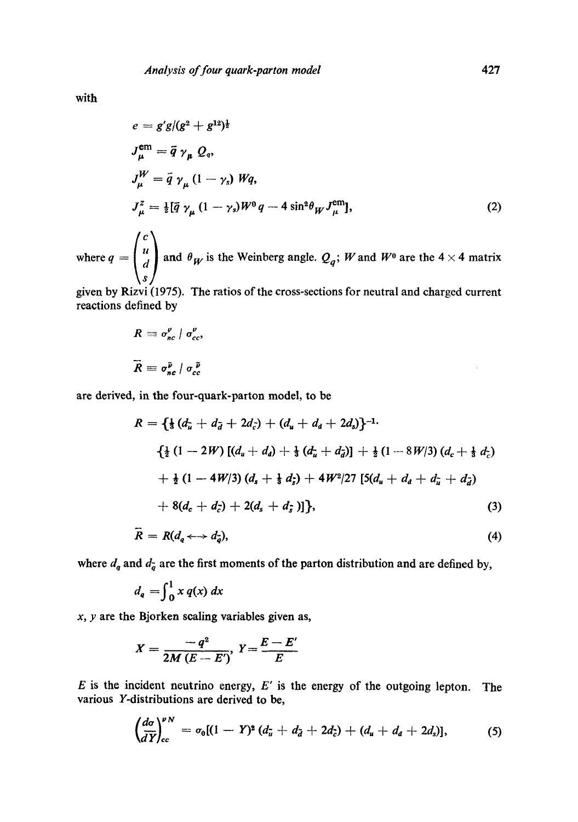with

$$
e = g'g/(g^{2} + g^{12})^{\frac{1}{2}}
$$
  
\n
$$
J_{\mu}^{em} = \bar{q} \gamma_{\mu} Q_{q},
$$
  
\n
$$
J_{\mu}^{W} = \bar{q} \gamma_{\mu} (1 - \gamma_{s}) Wq,
$$
  
\n
$$
J_{\mu}^{z} = \frac{1}{2} [\bar{q} \gamma_{\mu} (1 - \gamma_{s}) W^{0} q - 4 \sin^{2} \theta_{W} J_{\mu}^{em}],
$$
  
\n
$$
\int c
$$
  
\n(2)

where  $q = \begin{pmatrix} u \\ d \\ s \end{pmatrix}$  and  $\theta_W$  is the Weinberg angle.  $Q_q$ ; W and W<sup>o</sup> are the 4 × 4 matrix

given by Rizvi (1975). The ratios of the cross-sections for neutral and charged current reactions defined by

$$
R \equiv \sigma_{nc}^{\nu} / \sigma_{cc}^{\nu},
$$
  

$$
\overline{R} \equiv \sigma_{nc}^{\overline{\nu}} / \sigma_{cc}^{\overline{\nu}}
$$

are derived, in the four-quark-parton model, to be

$$
R = \left\{ \frac{1}{3} \left( d_{\tilde{u}} + d_{\tilde{d}} + 2d_{\tilde{c}} \right) + \left( d_u + d_d + 2d_s \right) \right\}^{-1}.
$$
\n
$$
\left\{ \frac{1}{2} \left( 1 - 2W \right) \left[ \left( d_u + d_d \right) + \frac{1}{3} \left( d_{\tilde{u}} + d_{\tilde{d}} \right) \right] + \frac{1}{2} \left( 1 - 8W/3 \right) \left( d_c + \frac{1}{3} d_{\tilde{c}} \right) \right\}
$$
\n
$$
+ \frac{1}{2} \left( 1 - 4W/3 \right) \left( d_s + \frac{1}{3} d_{\tilde{s}} \right) + 4W^2/27 \left[ 5(d_u + d_d + d_{\tilde{u}} + d_{\tilde{d}}) \right]
$$
\n
$$
+ 8(d_c + d_{\tilde{c}}) + 2(d_s + d_{\tilde{s}}) \right] \},
$$
\n(3)\n
$$
\tilde{R} = R(d_q \leftrightarrow d_{\tilde{d}}),
$$
\n(4)

where  $d_q$  and  $d_{\overline{q}}$  are the first moments of the parton distribution and are defined by,

$$
d_q = \int_0^1 x q(x) \ dx
$$

 $x, y$  are the Bjorken scaling variables given as,

$$
X=\frac{-q^2}{2M(E-E')}, Y=\frac{E-E'}{E}
$$

 $E$  is the incident neutrino energy,  $E'$  is the energy of the outgoing lepton. The various Y-distributions are derived to be,

$$
\left(\frac{d\sigma}{dY}\right)_{cc}^{pN} = \sigma_0[(1-Y)^2(d_{\tilde{u}}+d_{\tilde{d}}+2d_{\tilde{c}})+(d_u+d_d+2d_s)],
$$
 (5)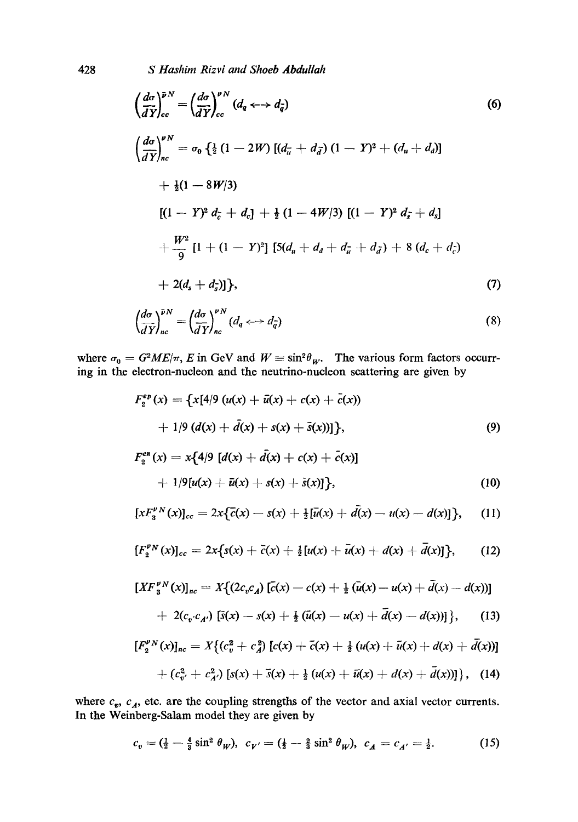$$
\left(\frac{d\sigma}{dY}\right)_{cc}^{pN} = \left(\frac{d\sigma}{dY}\right)_{cc}^{pN} (d_q \leftrightarrow d_{\bar{q}})
$$
\n
$$
\left(\frac{d\sigma}{dY}\right)_{nc}^{pN} = \sigma_0 \left\{\frac{1}{2} (1 - 2W) \left[ (d_{\bar{u}} + d_{\bar{d}}) (1 - Y)^2 + (d_u + d_d) \right] \right\}
$$
\n
$$
+ \frac{1}{2} (1 - 8W/3)
$$
\n
$$
\left[ (1 - Y)^2 d_{\bar{c}} + d_c \right] + \frac{1}{2} (1 - 4W/3) \left[ (1 - Y)^2 d_{\bar{s}} + d_{\bar{s}} \right]
$$
\n
$$
+ \frac{W^2}{9} \left[ 1 + (1 - Y)^2 \right] \left[ 5(d_u + d_d + d_{\bar{u}} + d_{\bar{d}}) + 8 (d_c + d_{\bar{c}}) \right]
$$
\n
$$
+ 2(d_s + d_{\bar{s}}) \right\}, \tag{7}
$$

$$
\left(\frac{d\sigma}{d\bar{Y}}\right)_{nc}^{\bar{p}N} = \left(\frac{d\sigma}{d\bar{Y}}\right)_{nc}^{\bar{p}N} (d_q \leftrightarrow d_{\bar{q}})
$$
\n(8)

where  $\sigma_0 = G^2 M E / \pi$ , E in GeV and  $W = \sin^2 \theta_W$ . The various form factors occurring in the electron-nucleon and the neutrino-nucleon scattering are given by

$$
F_2^{ep}(x) = \{x[4/9 (u(x) + \bar{u}(x) + c(x) + \bar{c}(x))
$$
  
+ 1/9 (d(x) + \bar{d}(x) + s(x) + \bar{s}(x))]\}, (9)

$$
F_2^{en}(x) = x\{4/9 \left[d(x) + \bar{d}(x) + c(x) + \bar{c}(x)\right] + 1/9[u(x) + \bar{u}(x) + s(x) + \bar{s}(x)]\},\tag{10}
$$

$$
[xF_3^{\nu N}(x)]_{cc} = 2x\{\bar{c}(x) - s(x) + \frac{1}{2}[\bar{u}(x) + \bar{d}(x) - u(x) - d(x)]\}, \quad (11)
$$

$$
[F_2^{\nu N}(x)]_{cc} = 2x\{s(x) + \bar{c}(x) + \frac{1}{2}[u(x) + \bar{u}(x) + d(x) + \bar{d}(x)]\},\qquad(12)
$$

$$
[XF_{3}^{\nu N}(x)]_{nc} = X\{(2c_{v}c_{A}) [c(x) - c(x) + \frac{1}{2} (\bar{u}(x) - u(x) + \bar{d}(x) - d(x))]
$$
  
+ 2(c\_{v}c\_{A'}) [ \bar{s}(x) - s(x) + \frac{1}{2} (\bar{u}(x) - u(x) + \bar{d}(x) - d(x)) ] \}, (13)  

$$
[F_{2}^{\nu N}(x)]_{nc} = X\{(c_{v}^{2} + c_{A}^{2}) [c(x) + \bar{c}(x) + \frac{1}{2} (u(x) + \bar{u}(x) + d(x) + \bar{d}(x))]
$$
  
+ (c\_{v}^{2} + c\_{A}^{2}) [s(x) + \bar{s}(x) + \frac{1}{2} (u(x) + \bar{u}(x) + d(x) + \bar{d}(x)) ] \}, (14)

where  $c_v$ ,  $c_A$ , etc. are the coupling strengths of the vector and axial vector currents. In the Weinberg-Salam model they are given by

$$
c_v = (\frac{1}{2} - \frac{4}{3}\sin^2\theta_W), \ \ c_{V'} = (\frac{1}{2} - \frac{2}{3}\sin^2\theta_W), \ \ c_A = c_{A'} = \frac{1}{2}.\tag{15}
$$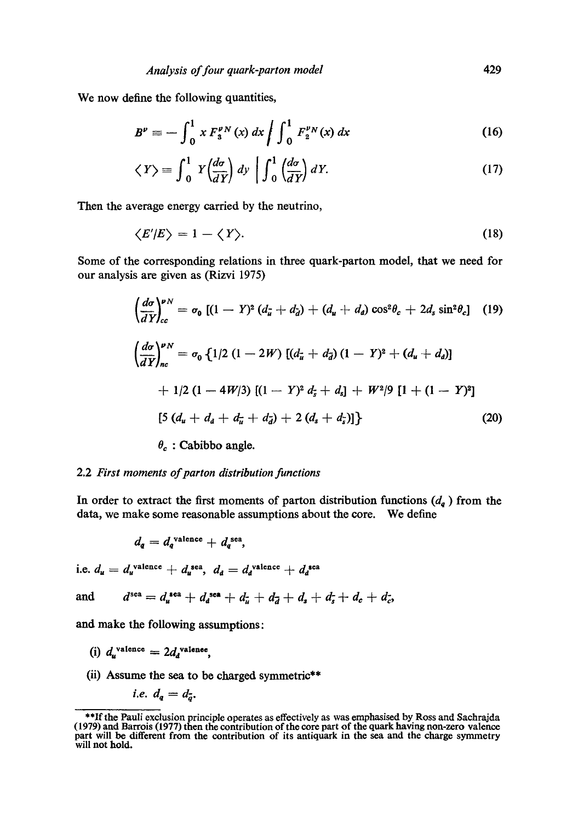We now define the following quantities,

$$
B^{\nu} = -\int_0^1 x F_3^{\nu N}(x) dx \bigg/ \int_0^1 F_2^{\nu N}(x) dx \qquad (16)
$$

$$
\langle Y \rangle \equiv \int_0^1 Y \left( \frac{d\sigma}{dY} \right) dy \left[ \int_0^1 \left( \frac{d\sigma}{dY} \right) dY. \right] \tag{17}
$$

Then the average energy carried by the neutrino,

$$
\langle E/E \rangle = 1 - \langle Y \rangle. \tag{18}
$$

Some of the corresponding relations in three quark-parton model, that we need for our analysis are given as (Rizvi 1975)

$$
\left(\frac{d\sigma}{dY}\right)_{cc}^{pN} = \sigma_0 \left[ (1 - Y)^2 (d_{\tilde{u}} + d_{\tilde{d}}) + (d_u + d_d) \cos^2\theta_c + 2d_s \sin^2\theta_c \right] \quad (19)
$$
\n
$$
\left(\frac{d\sigma}{dY}\right)_{nc}^{pN} = \sigma_0 \left\{ 1/2 (1 - 2W) \left[ (d_{\tilde{u}} + d_{\tilde{d}}) (1 - Y)^2 + (d_u + d_d) \right] \right\}
$$
\n
$$
+ 1/2 (1 - 4W/3) \left[ (1 - Y)^2 d_{\tilde{s}} + d_s \right] + W^2/9 \left[ 1 + (1 - Y)^2 \right]
$$
\n
$$
\left[ 5 (d_u + d_a + d_{\tilde{u}} + d_{\tilde{d}}) + 2 (d_s + d_{\tilde{s}}) \right] \}
$$
\n
$$
\theta_c : \text{Cabilobo angle.}
$$
\n(20)

### 2.2 *First moments of parton distribution functions*

In order to extract the first moments of parton distribution functions  $(d<sub>q</sub>)$  from the data, we make some reasonable assumptions about the core. We define

$$
d_{q} = d_{q}^{\text{ valence}} + d_{q}^{\text{ sea}},
$$

i.e.  $d_u = d_u^{\text{ valence}} + d_u^{\text{ sea}}, d_d = d_d^{\text{ valence}} + d_d^{\text{ sea}}$ 

and 
$$
d^{sea} = d_u^{sea} + d_d^{sea} + d_u^+ + d_d^+ + d_s^+ + d_c^+
$$

and make the following assumptions:

- (i)  $d_u^{\text{valence}} = 2d_d^{\text{valence}}$ ,
- (ii) Assume the sea to be charged symmetric\*\*

i.e. 
$$
d_q = d_{\overline{q}}
$$
.

*<sup>~</sup>t\*lt " "* If the Pauh exclusion principle operates as effectively as was emphasised by Ross and Sachrajda (1979) and Barrois (1977) then the contribution of the core part of the quark having non-zero valence part will be different from the contribution of its antiquark in the sea and the charge symmetry will not hold.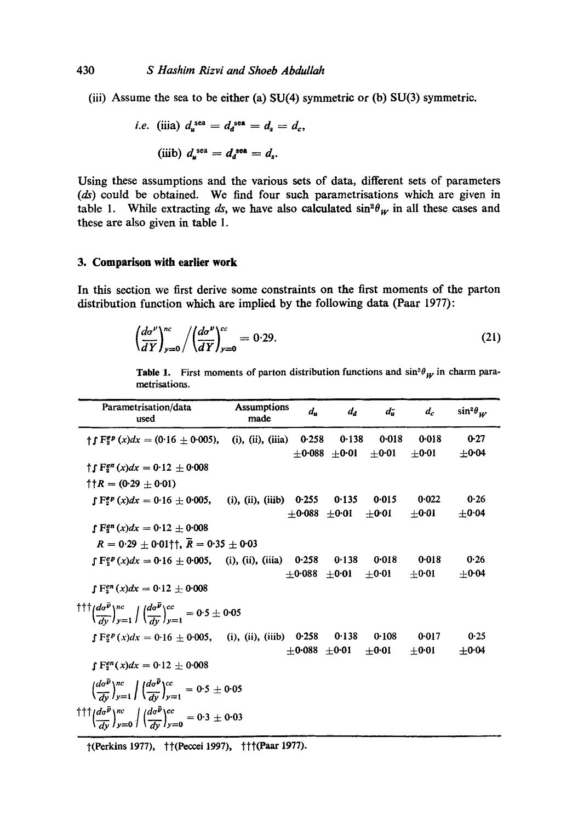(iii) Assume the sea to be either (a) SU(4) symmetric or (b) SU(3) symmetric.

i.e. (iii) 
$$
d_u^{\text{sea}} = d_d^{\text{sea}} = d_s = d_c,
$$
  
(iii)  $d_u^{\text{sea}} = d_d^{\text{sea}} = d_s.$ 

Using these assumptions and the various sets of data, different sets of parameters (ds) could be obtained. We find four such parametrisations which are given in table 1. While extracting ds, we have also calculated  $\sin^2 \theta_W$  in all these cases and these are also given in table 1.

# **3. Comparison with earlier work**

In this section we first derive some constraints on the first moments of the parton distribution function which are implied by the following data (Paar 1977):

$$
\left(\frac{d\sigma^{\nu}}{dY}\right)_{y=0}^{nc} / \left(\frac{d\sigma^{\nu}}{dY}\right)_{y=0}^{cc} = 0.29. \tag{21}
$$

**Table 1.** First moments of parton distribution functions and  $\sin^2 \theta_W$  in charm parametrisations.

| Parametrisation/data<br>used                                                                                                                                                                                                                                                                                                                                                                                             | <b>Assumptions</b><br>made                | $d_u$ | $d_d$                  |                        | $d_u - d_c$                   | $\sin^2\theta_W$ |
|--------------------------------------------------------------------------------------------------------------------------------------------------------------------------------------------------------------------------------------------------------------------------------------------------------------------------------------------------------------------------------------------------------------------------|-------------------------------------------|-------|------------------------|------------------------|-------------------------------|------------------|
|                                                                                                                                                                                                                                                                                                                                                                                                                          |                                           |       | 0.138                  | 0.018                  | 0.018                         | $0 - 27$         |
|                                                                                                                                                                                                                                                                                                                                                                                                                          |                                           |       | $+0.088 + 0.01$        | $+0.01$                | $\pm$ 0.01                    | $\pm$ 0.04       |
| $\uparrow$ $\uparrow$ $\uparrow$ $\uparrow$ $\uparrow$ $\uparrow$ $\uparrow$ $\uparrow$ $\uparrow$ $\uparrow$ $\uparrow$ $\uparrow$ $\downarrow$ $\uparrow$ $\uparrow$ $\uparrow$ $\uparrow$ $\uparrow$ $\uparrow$ $\uparrow$ $\uparrow$ $\uparrow$ $\uparrow$ $\uparrow$ $\uparrow$ $\uparrow$ $\uparrow$ $\uparrow$ $\uparrow$ $\uparrow$ $\uparrow$ $\uparrow$ $\uparrow$ $\uparrow$ $\uparrow$ $\uparrow$ $\uparrow$ |                                           |       |                        |                        |                               |                  |
| $\uparrow \uparrow R = (0.29 + 0.01)$                                                                                                                                                                                                                                                                                                                                                                                    |                                           |       |                        |                        |                               |                  |
| $\int F_2^{ep}(x)dx = 0.16 \pm 0.005$ ,                                                                                                                                                                                                                                                                                                                                                                                  | (i), (ii), (iiib) $0.255$ $0.135$ $0.015$ |       |                        |                        | 0.022                         | 0.26             |
|                                                                                                                                                                                                                                                                                                                                                                                                                          |                                           |       |                        | $+0.088 + 0.01 + 0.01$ | $+0.01$                       | $+0.04$          |
| $\int F_2^{en}(x)dx = 0.12 \pm 0.008$                                                                                                                                                                                                                                                                                                                                                                                    |                                           |       |                        |                        |                               |                  |
| $R = 0.29 \pm 0.01$ † †, $\overline{R} = 0.35 \pm 0.03$                                                                                                                                                                                                                                                                                                                                                                  |                                           |       |                        |                        |                               |                  |
| $\int F_2^{ep}(x)dx = 0.16 \pm 0.005$ , (i), (ii), (iiia) 0.258                                                                                                                                                                                                                                                                                                                                                          |                                           |       | 0.138                  | 0.018                  | 0.018                         | 0.26             |
|                                                                                                                                                                                                                                                                                                                                                                                                                          |                                           |       |                        |                        | $+0.088 + 0.01 + 0.01 + 0.01$ | $+0.04$          |
| $\int$ F <sub>s</sub> <sup>n</sup> (x)dx = 0.12 + 0.008                                                                                                                                                                                                                                                                                                                                                                  |                                           |       |                        |                        |                               |                  |
| $\int \int_0^{\pi} \left( \frac{d\sigma^{\bar{\nu}}}{d\nu} \right)_{\nu=1}^{nc} \int \left( \frac{d\sigma^{\bar{\nu}}}{d\nu} \right)_{\nu=1}^{cc} = 0.5 \pm 0.05$                                                                                                                                                                                                                                                        |                                           |       |                        |                        |                               |                  |
| $\int F_2^{ep}(x)dx = 0.16 \pm 0.005$ , (i), (ii), (iiib) 0.258                                                                                                                                                                                                                                                                                                                                                          |                                           |       | 0.138                  | 0.108                  | 0.017                         | 0.25             |
|                                                                                                                                                                                                                                                                                                                                                                                                                          |                                           |       | $+0.088 + 0.01 + 0.01$ |                        | $+0.01$                       | $+0.04$          |
| $\int$ F <sub>s</sub> <sup>n</sup> (x)dx = 0.12 + 0.008                                                                                                                                                                                                                                                                                                                                                                  |                                           |       |                        |                        |                               |                  |
| $\left(\frac{d\sigma^{\bar{\nu}}}{dv}\right)^{nc}_{v=1} / \left(\frac{d\sigma^{\bar{\nu}}}{dv}\right)^{cc}_{v=1} = 0.5 \pm 0.05$                                                                                                                                                                                                                                                                                         |                                           |       |                        |                        |                               |                  |
| $\int \int \frac{d\sigma^{\vec{p}}}{d\sigma} dx$ $\int \frac{d\sigma^{\vec{p}}}{d\sigma} dx$ $\int \frac{d\sigma^{\vec{p}}}{d\sigma} dx$ $= 0.3 \pm 0.03$                                                                                                                                                                                                                                                                |                                           |       |                        |                        |                               |                  |

t(Perkins 1977), † † (Peccei 1997), † † † (Paar 1977).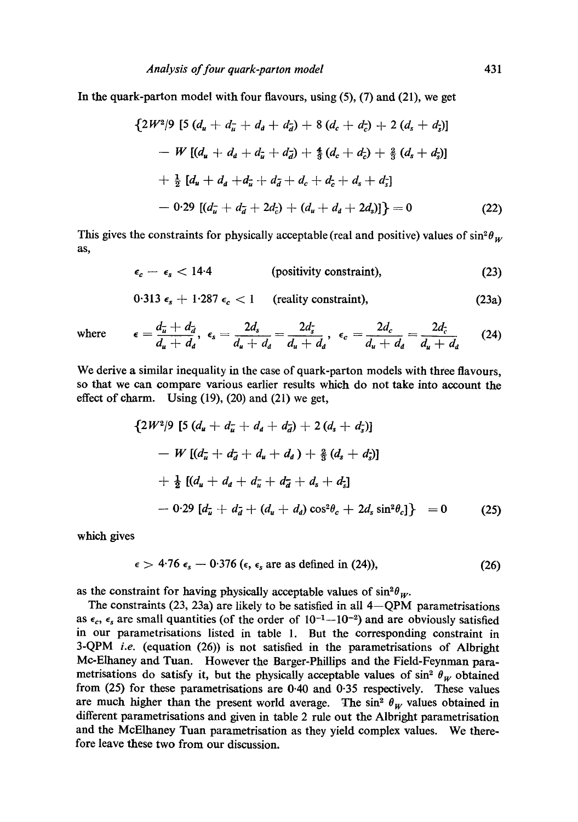In the quark-parton model with four flavours, using (5), (7) and (21), we get

$$
\{2W^{2}/9 \left[5(d_{u} + d_{u} + d_{d} + d_{d}) + 8(d_{c} + d_{c}) + 2(d_{s} + d_{s})\right] \}
$$
  
-  $W \left[(d_{u} + d_{d} + d_{u} + d_{d}) + \frac{4}{3}(d_{c} + d_{c}) + \frac{2}{3}(d_{s} + d_{s})\right]$   
+  $\frac{1}{2} [d_{u} + d_{d} + d_{u} + d_{d} + d_{c} + d_{c} + d_{s} + d_{s}]$   
- 0:29  $[(d_{u} + d_{d} + 2d_{c}) + (d_{u} + d_{d} + 2d_{s})]\} = 0$  (22)

This gives the constraints for physically acceptable (real and positive) values of  $\sin^2\theta_w$ as,

$$
\epsilon_c - \epsilon_s < 14.4 \qquad \qquad \text{(positivity constraint)}, \tag{23}
$$

$$
0.313 \epsilon_s + 1.287 \epsilon_c < 1 \quad \text{(relity constraint)}, \tag{23a}
$$

 $d_u + d_d$   $d_u + d_d$   $d_u + d_d$   $d_u + d_d$   $d_u + d_d$ 

where  $\epsilon = \frac{d_{\bar{x}} + d_{\bar{d}}}{dt}$ ,  $\epsilon_s = \frac{2d_s}{dt} = \frac{2d_{\bar{s}}}{dt}$ ,  $\epsilon_c = \frac{2d_c}{dt} = \frac{2d_{\bar{c}}}{dt}$  (24)

We derive a similar inequality in the case of quark-parton models with three flavours, so that we can compare various earlier results which do not take into account the effect of charm. Using (19), (20) and (21) we get,

$$
\{2W^2/9 \left[ 5(d_u + d_{\overline{u}} + d_a + d_{\overline{d}}) + 2(d_s + d_{\overline{s}}) \right] \}
$$
  
-  $W \left[ (d_{\overline{u}} + d_{\overline{d}} + d_u + d_a) + \frac{2}{3} (d_s + d_{\overline{s}}) \right]$   
+  $\frac{1}{2} \left[ (d_u + d_a + d_{\overline{u}} + d_{\overline{d}} + d_s + d_{\overline{s}}) \right]$   
- 0.29  $[d_{\overline{u}} + d_{\overline{d}} + (d_u + d_d) \cos^2 \theta_c + 2d_s \sin^2 \theta_c] \} = 0$  (25)

which gives

$$
\epsilon > 4.76 \epsilon_s - 0.376 \left(\epsilon, \epsilon_s \text{ are as defined in (24)}\right), \tag{26}
$$

as the constraint for having physically acceptable values of  $\sin^2\theta_w$ .

The constraints  $(23, 23a)$  are likely to be satisfied in all  $4-\text{QPM}$  parametrisations as  $\epsilon_c$ ,  $\epsilon_s$  are small quantities (of the order of  $10^{-1}$  -10<sup>-2</sup>) and are obviously satisfied in our parametrisations listed in table 1. But the corresponding constraint in 3-QPM *i.e.* (equation (26)) is not satisfied in the parametrisations of Albright Mc-Elhaney and Tuan. However the Barger-Phillips and the Field-Feynman parametrisations do satisfy it, but the physically acceptable values of  $\sin^2 \theta_w$  obtained from (25) for these parametrisations are 0.40 and 0.35 respectively. These values are much higher than the present world average. The sin<sup>2</sup>  $\theta_W$  values obtained in different parametrisations and given in table 2 rule out the Albright parametrisation and the McElhaney Tuan parametrisation as they yield complex values. We therefore leave these two from our discussion.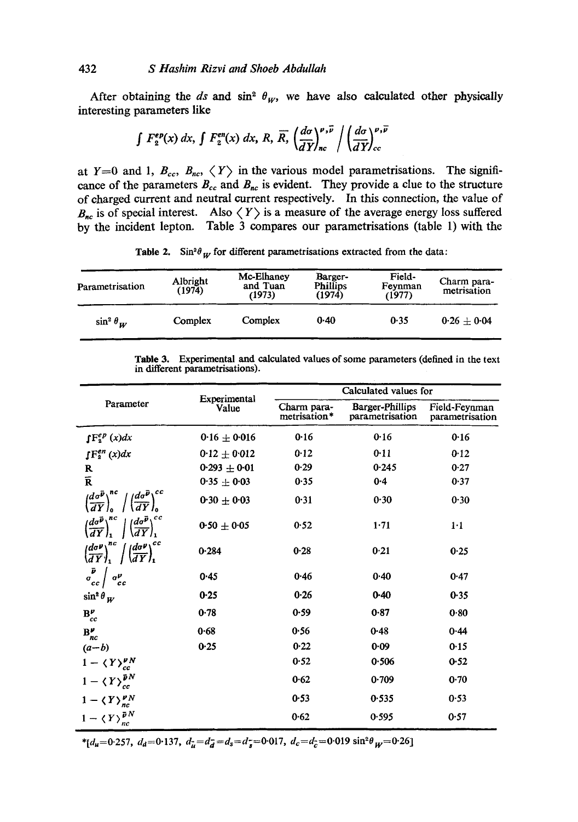After obtaining the *ds* and  $\sin^2 \theta_W$ , we have also calculated other physically interesting parameters like

$$
\int F_2^{ep}(x) dx, \int F_2^{en}(x) dx, R, \overline{R}, \left(\frac{d\sigma}{d\overline{Y}}\right)_{nc}^{p, \overline{p}} / \left(\frac{d\sigma}{d\overline{Y}}\right)_{cc}^{p, \overline{p}}
$$

at Y=0 and 1,  $B_{cc}$ ,  $B_{nc}$ ,  $\langle Y \rangle$  in the various model parametrisations. The significance of the parameters  $B_{cc}$  and  $B_{nc}$  is evident. They provide a clue to the structure of charged current and neutral current respectively. In this connection, the value of  $B_{nc}$  is of special interest. Also  $\langle Y \rangle$  is a measure of the average energy loss suffered by the incident lepton. Table 3 compares our parametrisations (table 1) with the

**Table 2.** Sin<sup>2</sup> $\theta_W$  for different parametrisations extracted from the data:

| Parametrisation  | Albright<br>(1974) | Mc-Elhaney<br>and Tuan<br>(1973) | Barger-<br><b>Phillips</b><br>(1974) | Field-<br>Feynman<br>(1977) | Charm para-<br>metrisation |
|------------------|--------------------|----------------------------------|--------------------------------------|-----------------------------|----------------------------|
| $\sin^2\theta_W$ | Complex            | Complex                          | 0.40                                 | 0.35                        | $0.26 + 0.04$              |

**Table 3. Experimental and calculated values of some parameters (defined in the text in different parametrisations).** 

| Parameter                                                                                                               |                       | Calculated values for       |                                    |                                  |  |  |
|-------------------------------------------------------------------------------------------------------------------------|-----------------------|-----------------------------|------------------------------------|----------------------------------|--|--|
|                                                                                                                         | Experimental<br>Value | Charm para-<br>metrisation* | Barger-Phillips<br>parametrisation | Field-Feynman<br>parametrisation |  |  |
| $\int F_2^{ep}(x)dx$                                                                                                    | 0.16 $\pm$ 0.016      | 0.16                        | 0.16                               | 0.16                             |  |  |
| $\int F_2^{en}(x)dx$                                                                                                    | $0.12 + 0.012$        | 0.12                        | 0.11                               | 0.12                             |  |  |
| R                                                                                                                       | $0.293 + 0.01$        | 0.29                        | 0.245                              | 0.27                             |  |  |
| $\overline{\mathbf{R}}$                                                                                                 | $0.35 \pm 0.03$       | 0.35                        | 0.4                                | 0.37                             |  |  |
| $\left(\frac{d\sigma^{\bar{p}}}{dY}\right)_{0}^{nc} / \left(\frac{d\sigma^{\bar{p}}}{dY}\right)_{0}^{cc}$               | 0.30 $\pm$ 0.03       | 0.31                        | 0.30                               | 0.30                             |  |  |
| $\left(\frac{d\sigma^{\vec{p}}}{dY}\right)_{1}^{nc}\ \left \ \left(\frac{d\sigma^{\vec{p}}}{dY}\right)_{1}^{cc}\right.$ | $0.50 + 0.05$         | 0.52                        | 1.71                               | $1-1$                            |  |  |
| $\left(\frac{d\sigma^{\pmb{\nu}}}{d\,Y}\right)_1^{nc}\Bigg/\left(\frac{d\sigma^{\pmb{\nu}}}{d\,Y}\right)_1^{cc}$        | 0.284                 | 0.28                        | 0.21                               | 0.25                             |  |  |
| $\sigma_{cc}^{\overline{\nu}}\Big/ \sigma_{cc}^{\nu}$                                                                   | 0.45                  | 0.46                        | 0.40                               | 0.47                             |  |  |
| $\sin^2\theta_W$                                                                                                        | 0.25                  | 0.26                        | $0-40$                             | 0.35                             |  |  |
| $\mathbf{B}^{\nu}_{cc}$                                                                                                 | 0.78                  | 0.59                        | 0.87                               | 0.80                             |  |  |
| $\mathbf{B}^{\pmb{\nu}}_{nc}$                                                                                           | 0.68                  | 0.56                        | 0.48                               | 0.44                             |  |  |
| $(a-b)$                                                                                                                 | 0.25                  | 0.22                        | 0.09                               | 0.15                             |  |  |
| $1 - \langle Y \rangle_{cc}^{VN}$                                                                                       |                       | 0.52                        | 0.506                              | 0.52                             |  |  |
| $1-\langle Y\rangle_{cc}^{\bar{p}N}$                                                                                    |                       | 0.62                        | 0.709                              | 0.70                             |  |  |
| $1 - \langle Y \rangle_{nc}^{\nu N}$                                                                                    |                       | 0.53                        | 0.535                              | 0.53                             |  |  |
| $1 - \langle Y \rangle_{nc}^{\bar{p}N}$                                                                                 |                       | 0.62                        | 0.595                              | 0.57                             |  |  |

\* $[d_u=0.257, d_d=0.137, d_u=d_d=d_s=d_s=0.017, d_c=d_c=0.019 \sin^2\theta_W=0.26]$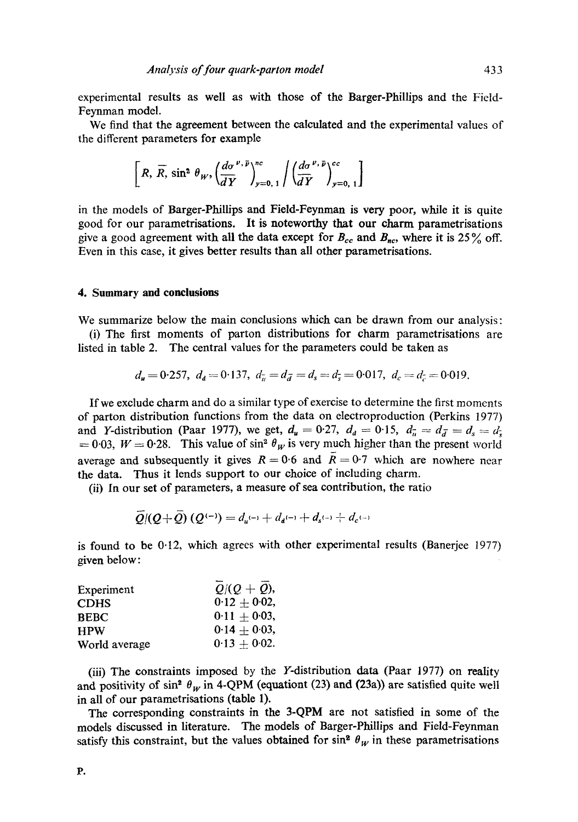experimental results as well as with those of the Barger-Phillips and the Field-Feynman model.

We find that the agreement between the calculated and the experimental values of the different parameters for example

$$
\left[R, \overrightarrow{R}, \sin^2 \theta_W, \left(\frac{d\sigma^{\nu, \overrightarrow{p}}}{d\overrightarrow{Y}}\right)^{nc}_{y=0, 1} / \left(\frac{d\sigma^{\nu, \overrightarrow{p}}}{d\overrightarrow{Y}}\right)^{cc}_{y=0, 1}\right]
$$

in the models of Barger-Phillips and Field-Feynman is very poor, while it is quite good for our parametrisations. It is noteworthy that our charm parametrisations give a good agreement with all the data except for  $B_{cc}$  and  $B_{nc}$ , where it is 25% off. Even in this ease, it gives better results than all other parametrisations.

# **4. Summary and conclusions**

We summarize below the main conclusions which can be drawn from our analysis:

(i) The first moments of parton distributions for charm parametrisations are listed in table 2. The central values for the parameters could be taken as

$$
d_{\mathbf{u}} = 0.257
$$
,  $d_{\mathbf{d}} = 0.137$ ,  $d_{\mathbf{u}} = d_{\mathbf{d}} = d_{\mathbf{s}} = d_{\mathbf{s}} = 0.017$ ,  $d_{\mathbf{c}} = d_{\mathbf{c}} = 0.019$ .

If we exclude charm and do a similar type of exercise to determine the first moments of parton distribution functions from the data on electroproduction (Perkins 1977) and Y-distribution (Paar 1977), we get,  $d_u = 0.27$ ,  $d_d = 0.15$ ,  $d_u = d_{\overline{d}} = d_s = d_{\overline{s}}$  $= 0.03$ ,  $W = 0.28$ . This value of sin<sup>2</sup>  $\theta_W$  is very much higher than the present world average and subsequently it gives  $R = 0.6$  and  $\overline{R} = 0.7$  which are nowhere near the data. Thus it lends support to our choice of including charm.

(ii) In our set of parameters, a measure of sea contribution, the ratio

$$
\overline{Q}/(Q+\overline{Q}) (Q^{(-)}) = d_u(-1) + d_d(-1) + d_s(-1) + d_c(-1)
$$

is found to be 0.12, which agrees with other experimental results (Banerjee 1977) given below:

| Experiment    | $Q/(Q + Q)$ ,   |
|---------------|-----------------|
| <b>CDHS</b>   | $0.12 + 0.02$ , |
| <b>BEBC</b>   | $0.11 + 0.03$   |
| <b>HPW</b>    | $0.14 + 0.03$ , |
| World average | $0.13 + 0.02$ . |

(iii) The constraints imposed by the Y-distribution data (Paar 1977) on reality and positivity of sin<sup>2</sup>  $\theta_W$  in 4-QPM (equationt (23) and (23a)) are satisfied quite well in all of our parametrisations (table 1).

The corresponding constraints in the 3-QPM are not satisfied in some of the models discussed in literature. The models of Barger-Phillips and Field-Feynman satisfy this constraint, but the values obtained for  $\sin^2 \theta_W$  in these parametrisations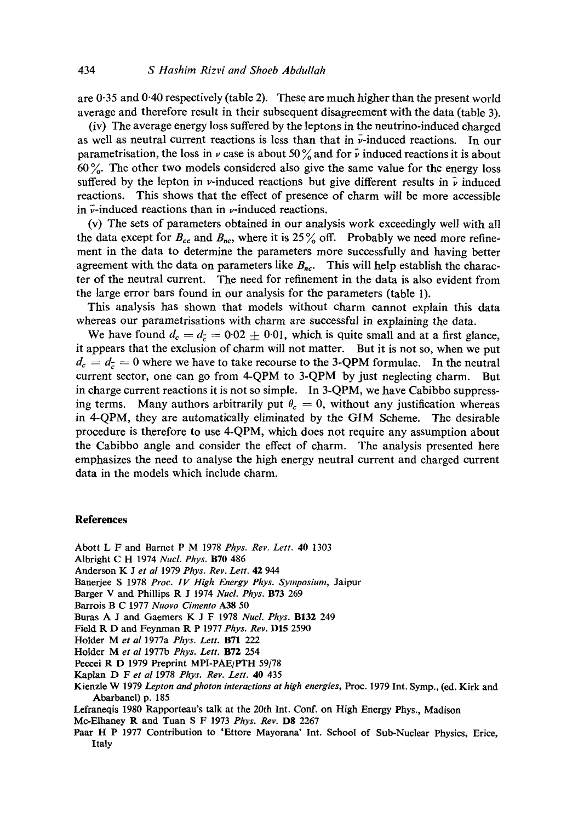are 0-35 and 0.40 respectively (table 2). These are much higher than the present world average and therefore result in their subsequent disagreement with the data (table 3).

(iv) The average energy loss suffered by the leptons in the neutrino-induced charged as well as neutral current reactions is less than that in  $\bar{\nu}$ -induced reactions. In our parametrisation, the loss in  $\nu$  case is about 50% and for  $\bar{\nu}$  induced reactions it is about 60%. The other two models considered also give the same value for the energy loss suffered by the lepton in v-induced reactions but give different results in  $\bar{\nu}$  induced reactions. This shows that the effect of presence of charm will be more accessible in  $\bar{\nu}$ -induced reactions than in  $\nu$ -induced reactions.

(v) The sets of parameters obtained in our analysis work exceedingly well with all the data except for  $B_{cc}$  and  $B_{nc}$ , where it is 25% off. Probably we need more refinement in the data to determine the parameters more successfully and having better agreement with the data on parameters like  $B_{nc}$ . This will help establish the character of the neutral current. The need for refinement in the data is also evident from the large error bars found in our analysis for the parameters (table 1).

This analysis has shown that models without charm cannot explain this data whereas our parametrisations with charm are successful in explaining the data.

We have found  $d_c = d_{\vec{c}} = 0.02 \pm 0.01$ , which is quite small and at a first glance, it appears that the exclusion of charm will not matter. But it is not so, when we put  $d_c = d_{\overline{c}} = 0$  where we have to take recourse to the 3-QPM formulae. In the neutral current sector, one can go from 4-QPM to 3-QPM by just neglecting charm. But in charge current reactions it is not so simple. In 3-QPM, we have Cabibbo suppressing terms. Many authors arbitrarily put  $\theta_c = 0$ , without any justification whereas in 4-QPM, they are automatically eliminated by the GIM Scheme. The desirable procedure is therefore to use 4-QPM, which does not require any assumption about the Cabibbo angle and consider the effect of charm. The analysis presented here emphasizes the need to analyse the high energy neutral current and charged current data in the models which include charm.

#### **References**

- Abott L F and Barnet P M 1978 *Phys. Rev. Lett.* 40 1303
- Albright C H 1974 *Nucl. Phys.* B70 486
- Anderson K J *et al* 1979 *Phys. Rev. Lett.* 42 944
- Banerjee S 1978 *Proc. IV High Energy Phys. Symposium,* Jaipur
- Barger V and. Phillips R J 1974 *Nucl. Phys.* B73 269
- Barrois B C 1977 *Nuovo Cimento* A38 50
- Burns A J and Gaemers K J F 1978 *NucL Phys.* B132 249
- Field R D and Feynman R P 1977 *Phys. Rev.* DIS 2590
- Holder Met *al* 1977a *Phys. Lett.* BT1 222
- Holder Met *al* 1977b *Phys. Lett.* B72 254
- Peccei R D 1979 Preprint MPI-PAE/PTH 59/78
- Kaplan D F *et al* 1978 *Phys. Rev. Lett.* 40 435
- Kienzle W 1979 Lepton and photon interactions at high energies, Proc. 1979 Int. Symp., (ed. Kirk and Abarbanel) p. 185

Lefraneqis 1980 Rapporteau's talk at the 20th Int. Conf. on High Energy Phys., Madison Mc-Elhaney R and Tuan S F 1973 *Phys. Rev.* D8 2267

Paar H P 1977 Contribution to 'Ettore Mayorana' Int. School of Sub-Nuclear Physics, Erice, Italy